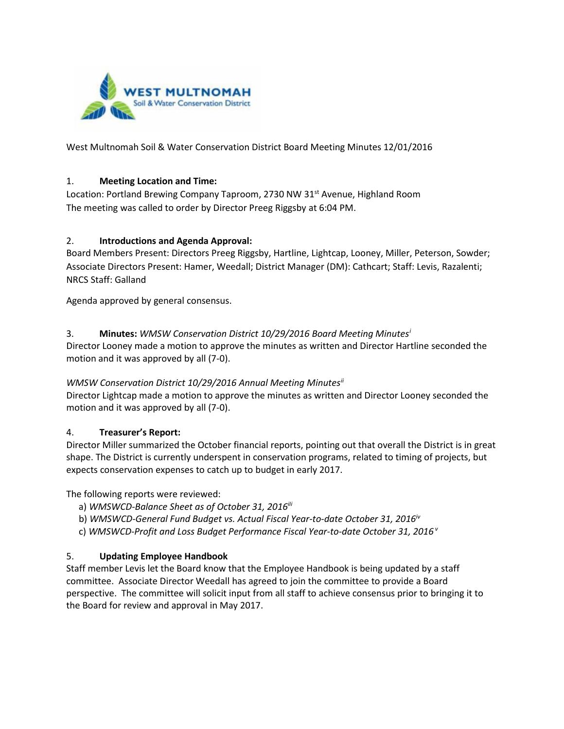

West Multnomah Soil & Water Conservation District Board Meeting Minutes 12/01/2016

### 1. **Meeting Location and Time:**

Location: Portland Brewing Company Taproom, 2730 NW 31<sup>st</sup> Avenue, Highland Room The meeting was called to order by Director Preeg Riggsby at 6:04 PM.

### 2. **Introductions and Agenda Approval:**

Board Members Present: Directors Preeg Riggsby, Hartline, Lightcap, Looney, Miller, Peterson, Sowder; Associate Directors Present: Hamer, Weedall; District Manager (DM): Cathcart; Staff: Levis, Razalenti; NRCS Staff: Galland

Agenda approved by general consensus.

### 3. **Minutes:** *WMSW Conservation District 10/29/2016 Board Meeting Minutes[i](#page-1-0)*

Director Looney made a motion to approve the minutes as written and Director Hartline seconded the motion and it was approved by all (7-0).

#### *WMSW Conservation District 10/29/2016 Annual Meeting Minutes[ii](#page-1-1)*

Director Lightcap made a motion to approve the minutes as written and Director Looney seconded the motion and it was approved by all (7-0).

## 4. **Treasurer's Report:**

Director Miller summarized the October financial reports, pointing out that overall the District is in great shape. The District is currently underspent in conservation programs, related to timing of projects, but expects conservation expenses to catch up to budget in early 2017.

The following reports were reviewed:

- a) *WMSWCD-Balance Sheet as of October 31, 2016<sup>iii</sup>*
- b) *WMSWCD-General Fund Budget vs. Actual Fiscal Year-to-date October 31, 2016*<sup>*v*</sup>
- c) *WMSWCD-Profit and Loss Budget Performance Fiscal Year-to-date October 31, 2016 <sup>v</sup>*

## 5. **Updating Employee Handbook**

Staff member Levis let the Board know that the Employee Handbook is being updated by a staff committee. Associate Director Weedall has agreed to join the committee to provide a Board perspective. The committee will solicit input from all staff to achieve consensus prior to bringing it to the Board for review and approval in May 2017.